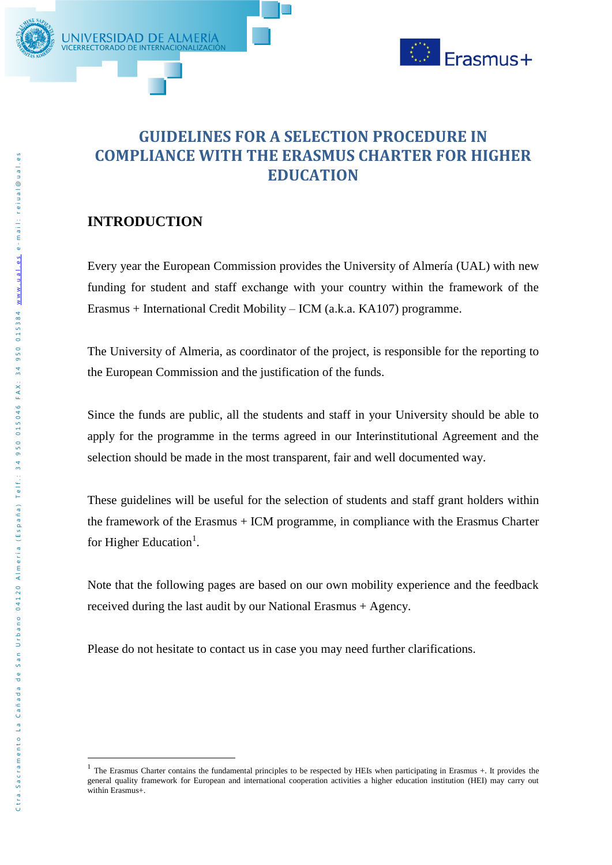

# **GUIDELINES FOR A SELECTION PROCEDURE IN COMPLIANCE WITH THE ERASMUS CHARTER FOR HIGHER EDUCATION**

## **INTRODUCTION**

**VICERRECTORADO DE INTERNACIO** 

JNIVERSIDAD DE ALMERIA

Every year the European Commission provides the University of Almería (UAL) with new funding for student and staff exchange with your country within the framework of the Erasmus + International Credit Mobility – ICM (a.k.a. KA107) programme.

The University of Almeria, as coordinator of the project, is responsible for the reporting to the European Commission and the justification of the funds.

Since the funds are public, all the students and staff in your University should be able to apply for the programme in the terms agreed in our Interinstitutional Agreement and the selection should be made in the most transparent, fair and well documented way.

These guidelines will be useful for the selection of students and staff grant holders within the framework of the Erasmus + ICM programme, in compliance with the Erasmus Charter for Higher Education<sup>1</sup>.

Note that the following pages are based on our own mobility experience and the feedback received during the last audit by our National Erasmus + Agency.

Please do not hesitate to contact us in case you may need further clarifications.

1

<sup>&</sup>lt;sup>1</sup> The Erasmus Charter contains the fundamental principles to be respected by HEIs when participating in Erasmus  $+$ . It provides the general quality framework for European and international cooperation activities a higher education institution (HEI) may carry out within Erasmus+.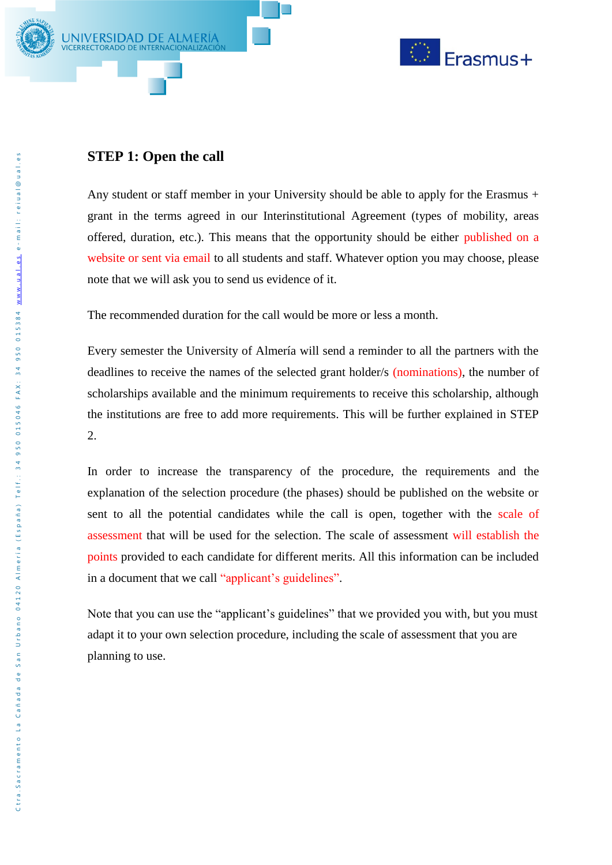



## **STEP 1: Open the call**

Any student or staff member in your University should be able to apply for the Erasmus + grant in the terms agreed in our Interinstitutional Agreement (types of mobility, areas offered, duration, etc.). This means that the opportunity should be either published on a website or sent via email to all students and staff. Whatever option you may choose, please note that we will ask you to send us evidence of it.

The recommended duration for the call would be more or less a month.

Every semester the University of Almería will send a reminder to all the partners with the deadlines to receive the names of the selected grant holder/s (nominations), the number of scholarships available and the minimum requirements to receive this scholarship, although the institutions are free to add more requirements. This will be further explained in STEP 2.

In order to increase the transparency of the procedure, the requirements and the explanation of the selection procedure (the phases) should be published on the website or sent to all the potential candidates while the call is open, together with the scale of assessment that will be used for the selection. The scale of assessment will establish the points provided to each candidate for different merits. All this information can be included in a document that we call "applicant's guidelines".

Note that you can use the "applicant's guidelines" that we provided you with, but you must adapt it to your own selection procedure, including the scale of assessment that you are planning to use.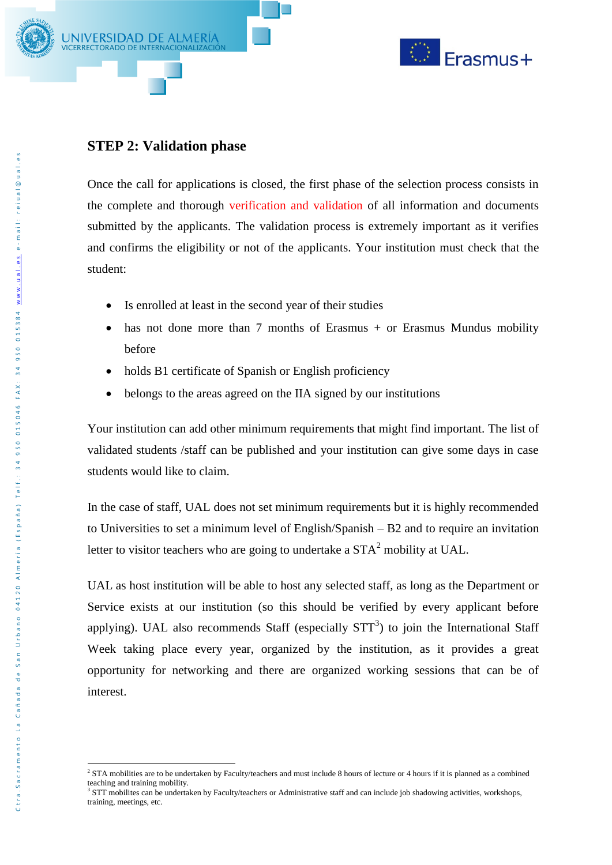



#### **STEP 2: Validation phase**

Once the call for applications is closed, the first phase of the selection process consists in the complete and thorough verification and validation of all information and documents submitted by the applicants. The validation process is extremely important as it verifies and confirms the eligibility or not of the applicants. Your institution must check that the student:

- Is enrolled at least in the second year of their studies
- has not done more than  $7$  months of Erasmus + or Erasmus Mundus mobility before
- holds B1 certificate of Spanish or English proficiency
- belongs to the areas agreed on the IIA signed by our institutions

Your institution can add other minimum requirements that might find important. The list of validated students /staff can be published and your institution can give some days in case students would like to claim.

In the case of staff, UAL does not set minimum requirements but it is highly recommended to Universities to set a minimum level of English/Spanish – B2 and to require an invitation letter to visitor teachers who are going to undertake a  $STA<sup>2</sup>$  mobility at UAL.

UAL as host institution will be able to host any selected staff, as long as the Department or Service exists at our institution (so this should be verified by every applicant before applying). UAL also recommends Staff (especially  $STT<sup>3</sup>$ ) to join the International Staff Week taking place every year, organized by the institution, as it provides a great opportunity for networking and there are organized working sessions that can be of interest.

<sup>&</sup>lt;u>.</u> <sup>2</sup> STA mobilities are to be undertaken by Faculty/teachers and must include 8 hours of lecture or 4 hours if it is planned as a combined teaching and training mobility.

<sup>&</sup>lt;sup>3</sup> STT mobilites can be undertaken by Faculty/teachers or Administrative staff and can include job shadowing activities, workshops, training, meetings, etc.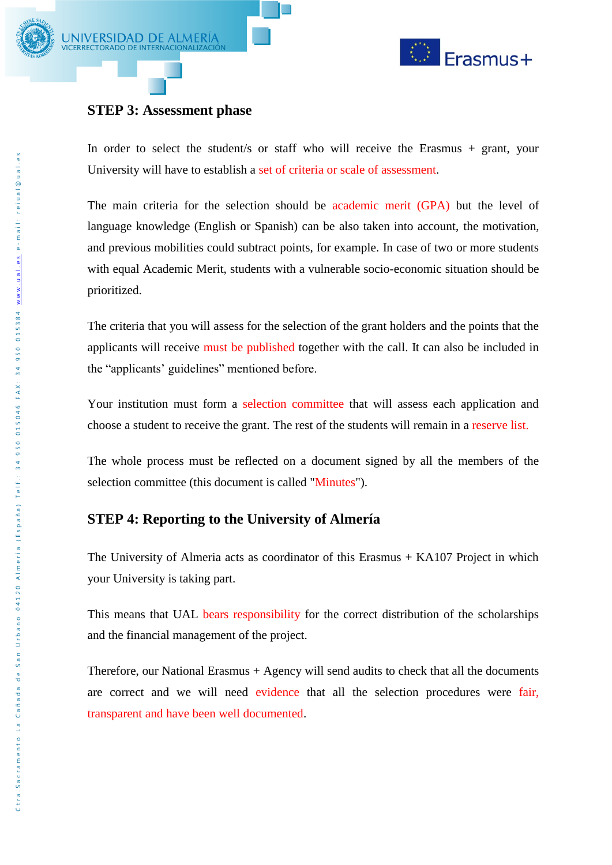



## **STEP 3: Assessment phase**

In order to select the student/s or staff who will receive the Erasmus + grant, your University will have to establish a set of criteria or scale of assessment.

The main criteria for the selection should be academic merit (GPA) but the level of language knowledge (English or Spanish) can be also taken into account, the motivation, and previous mobilities could subtract points, for example. In case of two or more students with equal Academic Merit, students with a vulnerable socio-economic situation should be prioritized.

The criteria that you will assess for the selection of the grant holders and the points that the applicants will receive must be published together with the call. It can also be included in the "applicants' guidelines" mentioned before.

Your institution must form a selection committee that will assess each application and choose a student to receive the grant. The rest of the students will remain in a reserve list.

The whole process must be reflected on a document signed by all the members of the selection committee (this document is called "Minutes").

#### **STEP 4: Reporting to the University of Almería**

The University of Almeria acts as coordinator of this Erasmus + KA107 Project in which your University is taking part.

This means that UAL bears responsibility for the correct distribution of the scholarships and the financial management of the project.

Therefore, our National Erasmus + Agency will send audits to check that all the documents are correct and we will need evidence that all the selection procedures were fair, transparent and have been well documented.